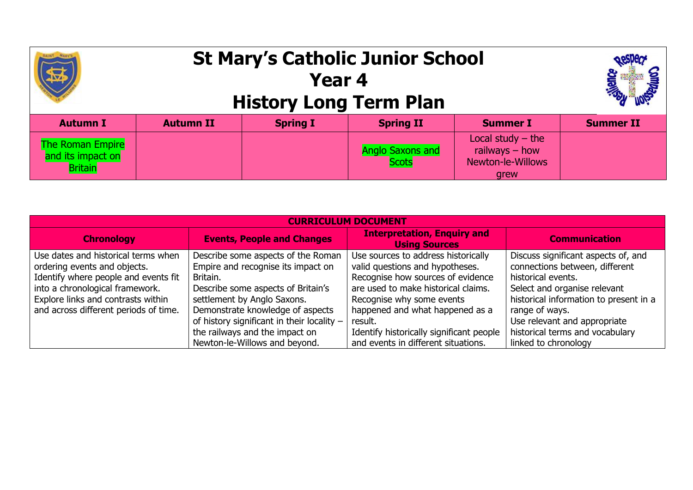|                                                                | <b>St Mary's Catholic Junior School</b><br><b>History Long Term Plan</b> |                 |                           |                                                                             |                  |
|----------------------------------------------------------------|--------------------------------------------------------------------------|-----------------|---------------------------|-----------------------------------------------------------------------------|------------------|
| <b>Autumn I</b>                                                | <b>Autumn II</b>                                                         | <b>Spring I</b> | <b>Spring II</b>          | <b>Summer I</b>                                                             | <b>Summer II</b> |
| <b>The Roman Empire</b><br>and its impact on<br><b>Britain</b> |                                                                          |                 | Anglo Saxons and<br>Scots | Local study $-$ the<br>railways $-$ how<br><b>Newton-le-Willows</b><br>arew |                  |

| <b>CURRICULUM DOCUMENT</b>                                                  |                                                                 |                                                                      |                                                          |  |  |  |
|-----------------------------------------------------------------------------|-----------------------------------------------------------------|----------------------------------------------------------------------|----------------------------------------------------------|--|--|--|
| <b>Chronology</b>                                                           | <b>Events, People and Changes</b>                               | <b>Interpretation, Enquiry and</b><br><b>Using Sources</b>           | <b>Communication</b>                                     |  |  |  |
| Use dates and historical terms when                                         | Describe some aspects of the Roman                              | Use sources to address historically                                  | Discuss significant aspects of, and                      |  |  |  |
| ordering events and objects.<br>Identify where people and events fit        | Empire and recognise its impact on<br>Britain.                  | valid questions and hypotheses.<br>Recognise how sources of evidence | connections between, different<br>historical events.     |  |  |  |
| into a chronological framework.                                             | Describe some aspects of Britain's                              | are used to make historical claims.                                  | Select and organise relevant                             |  |  |  |
| Explore links and contrasts within<br>and across different periods of time. | settlement by Anglo Saxons.<br>Demonstrate knowledge of aspects | Recognise why some events<br>happened and what happened as a         | historical information to present in a<br>range of ways. |  |  |  |
|                                                                             | of history significant in their locality -                      | result.                                                              | Use relevant and appropriate                             |  |  |  |
|                                                                             | the railways and the impact on                                  | Identify historically significant people                             | historical terms and vocabulary                          |  |  |  |
|                                                                             | Newton-le-Willows and beyond.                                   | and events in different situations.                                  | linked to chronology                                     |  |  |  |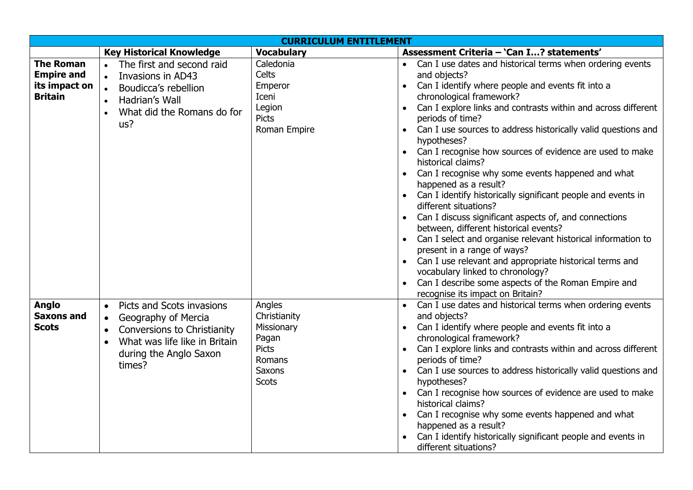| <b>CURRICULUM ENTITLEMENT</b>                     |                                                                                                                                                                                             |                                                                                                          |                                                                                                                                                                                                                                                                                                                                                                                                                                                                                                                                                                                                                                                                                                                                                                                                                                                                    |  |  |
|---------------------------------------------------|---------------------------------------------------------------------------------------------------------------------------------------------------------------------------------------------|----------------------------------------------------------------------------------------------------------|--------------------------------------------------------------------------------------------------------------------------------------------------------------------------------------------------------------------------------------------------------------------------------------------------------------------------------------------------------------------------------------------------------------------------------------------------------------------------------------------------------------------------------------------------------------------------------------------------------------------------------------------------------------------------------------------------------------------------------------------------------------------------------------------------------------------------------------------------------------------|--|--|
|                                                   | <b>Key Historical Knowledge</b>                                                                                                                                                             | <b>Vocabulary</b>                                                                                        | Assessment Criteria - 'Can I? statements'                                                                                                                                                                                                                                                                                                                                                                                                                                                                                                                                                                                                                                                                                                                                                                                                                          |  |  |
| <b>The Roman</b><br><b>Empire and</b>             | The first and second raid<br>$\bullet$<br>Invasions in AD43                                                                                                                                 | Caledonia<br>Celts                                                                                       | Can I use dates and historical terms when ordering events<br>and objects?                                                                                                                                                                                                                                                                                                                                                                                                                                                                                                                                                                                                                                                                                                                                                                                          |  |  |
| its impact on<br><b>Britain</b>                   | $\bullet$<br>Boudicca's rebellion<br>Hadrian's Wall<br>$\bullet$<br>What did the Romans do for<br>us?                                                                                       | Emperor<br>Iceni<br>Legion<br><b>Picts</b><br>Roman Empire                                               | Can I identify where people and events fit into a<br>chronological framework?<br>Can I explore links and contrasts within and across different<br>periods of time?<br>Can I use sources to address historically valid questions and<br>hypotheses?<br>Can I recognise how sources of evidence are used to make<br>historical claims?<br>Can I recognise why some events happened and what<br>happened as a result?<br>Can I identify historically significant people and events in<br>different situations?<br>Can I discuss significant aspects of, and connections<br>between, different historical events?<br>Can I select and organise relevant historical information to<br>present in a range of ways?<br>Can I use relevant and appropriate historical terms and<br>vocabulary linked to chronology?<br>Can I describe some aspects of the Roman Empire and |  |  |
| <b>Anglo</b><br><b>Saxons and</b><br><b>Scots</b> | Picts and Scots invasions<br>$\bullet$<br>Geography of Mercia<br>$\bullet$<br>Conversions to Christianity<br>$\bullet$<br>What was life like in Britain<br>during the Anglo Saxon<br>times? | Angles<br>Christianity<br>Missionary<br>Pagan<br><b>Picts</b><br>Romans<br><b>Saxons</b><br><b>Scots</b> | recognise its impact on Britain?<br>Can I use dates and historical terms when ordering events<br>and objects?<br>Can I identify where people and events fit into a<br>chronological framework?<br>Can I explore links and contrasts within and across different<br>periods of time?<br>Can I use sources to address historically valid questions and<br>hypotheses?<br>Can I recognise how sources of evidence are used to make<br>historical claims?<br>Can I recognise why some events happened and what<br>happened as a result?<br>Can I identify historically significant people and events in<br>different situations?                                                                                                                                                                                                                                       |  |  |